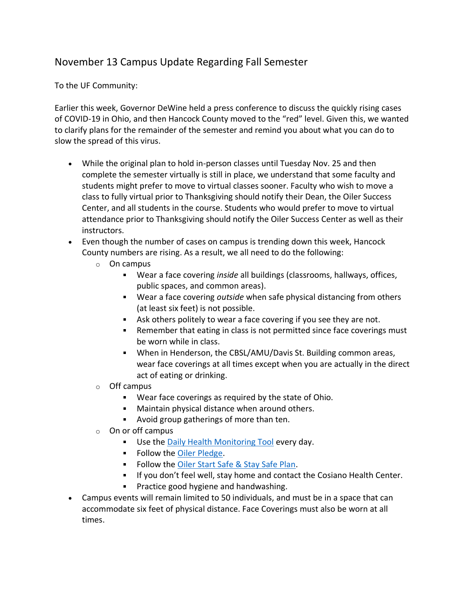## November 13 Campus Update Regarding Fall Semester

To the UF Community:

Earlier this week, Governor DeWine held a press conference to discuss the quickly rising cases of COVID-19 in Ohio, and then Hancock County moved to the "red" level. Given this, we wanted to clarify plans for the remainder of the semester and remind you about what you can do to slow the spread of this virus.

- While the original plan to hold in-person classes until Tuesday Nov. 25 and then complete the semester virtually is still in place, we understand that some faculty and students might prefer to move to virtual classes sooner. Faculty who wish to move a class to fully virtual prior to Thanksgiving should notify their Dean, the Oiler Success Center, and all students in the course. Students who would prefer to move to virtual attendance prior to Thanksgiving should notify the Oiler Success Center as well as their instructors.
- Even though the number of cases on campus is trending down this week, Hancock County numbers are rising. As a result, we all need to do the following:
	- o On campus
		- Wear a face covering *inside* all buildings (classrooms, hallways, offices, public spaces, and common areas).
		- Wear a face covering *outside* when safe physical distancing from others (at least six feet) is not possible.
		- Ask others politely to wear a face covering if you see they are not.
		- **Para Finance is not integral in class is not permitted since face coverings must** be worn while in class.
		- When in Henderson, the CBSL/AMU/Davis St. Building common areas, wear face coverings at all times except when you are actually in the direct act of eating or drinking.
	- o Off campus
		- Wear face coverings as required by the state of Ohio.
		- **Maintain physical distance when around others.**
		- Avoid group gatherings of more than ten.
	- $\circ$  On or off campus
		- **Use the [Daily Health Monitoring Tool](https://findlayu.workflowcloud.com/forms/c6f714d6-a1f3-4a6d-874c-9fedc91de3be) every day.**
		- **Follow the [Oiler Pledge.](https://www.findlay.edu/oiler-start-safe-and-stay-safe/oiler-nation-community-pledge)**
		- **Follow the [Oiler Start Safe & Stay Safe Plan.](https://www.findlay.edu/oiler-start-safe-and-stay-safe/)**
		- **If you don't feel well, stay home and contact the Cosiano Health Center.**
		- $\mathbf{u}$  . Practice good hygiene and handwashing.
- Campus events will remain limited to 50 individuals, and must be in a space that can accommodate six feet of physical distance. Face Coverings must also be worn at all times.